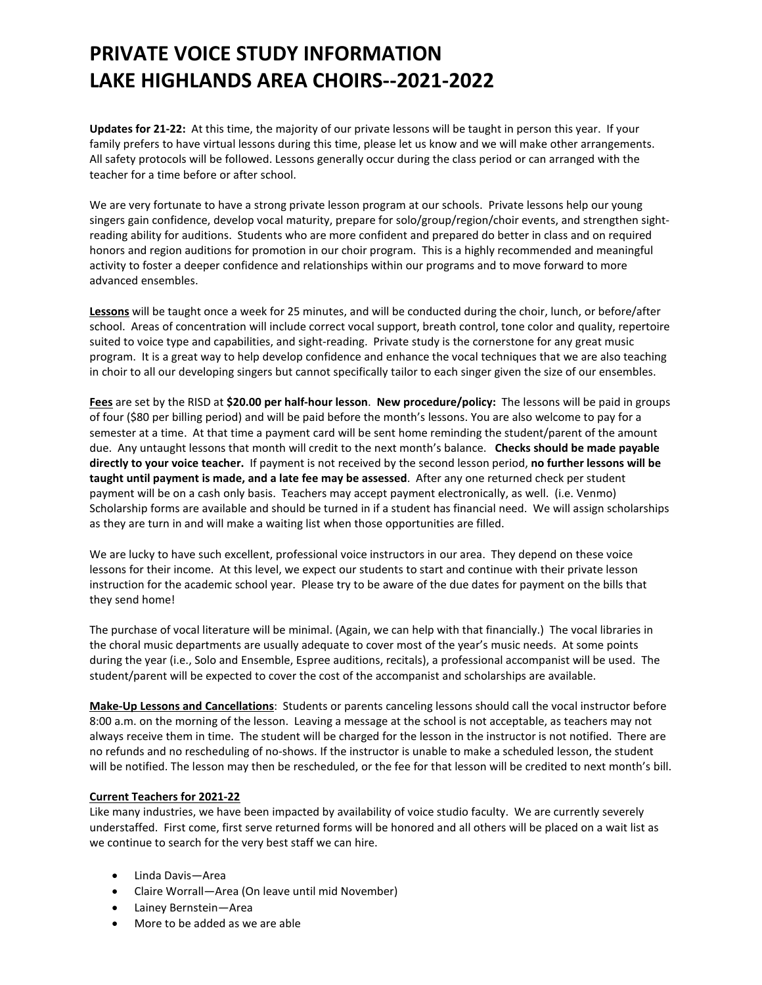## **PRIVATE VOICE STUDY INFORMATION LAKE HIGHLANDS AREA CHOIRS--2021-2022**

**Updates for 21-22:** At this time, the majority of our private lessons will be taught in person this year. If your family prefers to have virtual lessons during this time, please let us know and we will make other arrangements. All safety protocols will be followed. Lessons generally occur during the class period or can arranged with the teacher for a time before or after school.

We are very fortunate to have a strong private lesson program at our schools. Private lessons help our young singers gain confidence, develop vocal maturity, prepare for solo/group/region/choir events, and strengthen sightreading ability for auditions. Students who are more confident and prepared do better in class and on required honors and region auditions for promotion in our choir program. This is a highly recommended and meaningful activity to foster a deeper confidence and relationships within our programs and to move forward to more advanced ensembles.

**Lessons** will be taught once a week for 25 minutes, and will be conducted during the choir, lunch, or before/after school. Areas of concentration will include correct vocal support, breath control, tone color and quality, repertoire suited to voice type and capabilities, and sight-reading. Private study is the cornerstone for any great music program. It is a great way to help develop confidence and enhance the vocal techniques that we are also teaching in choir to all our developing singers but cannot specifically tailor to each singer given the size of our ensembles.

**Fees** are set by the RISD at **\$20.00 per half-hour lesson**. **New procedure/policy:** The lessons will be paid in groups of four (\$80 per billing period) and will be paid before the month's lessons. You are also welcome to pay for a semester at a time. At that time a payment card will be sent home reminding the student/parent of the amount due. Any untaught lessons that month will credit to the next month's balance. **Checks should be made payable directly to your voice teacher.** If payment is not received by the second lesson period, **no further lessons will be taught until payment is made, and a late fee may be assessed**. After any one returned check per student payment will be on a cash only basis. Teachers may accept payment electronically, as well. (i.e. Venmo) Scholarship forms are available and should be turned in if a student has financial need. We will assign scholarships as they are turn in and will make a waiting list when those opportunities are filled.

We are lucky to have such excellent, professional voice instructors in our area. They depend on these voice lessons for their income. At this level, we expect our students to start and continue with their private lesson instruction for the academic school year. Please try to be aware of the due dates for payment on the bills that they send home!

The purchase of vocal literature will be minimal. (Again, we can help with that financially.) The vocal libraries in the choral music departments are usually adequate to cover most of the year's music needs. At some points during the year (i.e., Solo and Ensemble, Espree auditions, recitals), a professional accompanist will be used. The student/parent will be expected to cover the cost of the accompanist and scholarships are available.

**Make-Up Lessons and Cancellations**: Students or parents canceling lessons should call the vocal instructor before 8:00 a.m. on the morning of the lesson. Leaving a message at the school is not acceptable, as teachers may not always receive them in time. The student will be charged for the lesson in the instructor is not notified. There are no refunds and no rescheduling of no-shows. If the instructor is unable to make a scheduled lesson, the student will be notified. The lesson may then be rescheduled, or the fee for that lesson will be credited to next month's bill.

## **Current Teachers for 2021-22**

Like many industries, we have been impacted by availability of voice studio faculty. We are currently severely understaffed. First come, first serve returned forms will be honored and all others will be placed on a wait list as we continue to search for the very best staff we can hire.

- Linda Davis—Area
- Claire Worrall—Area (On leave until mid November)
- Lainey Bernstein—Area
- More to be added as we are able